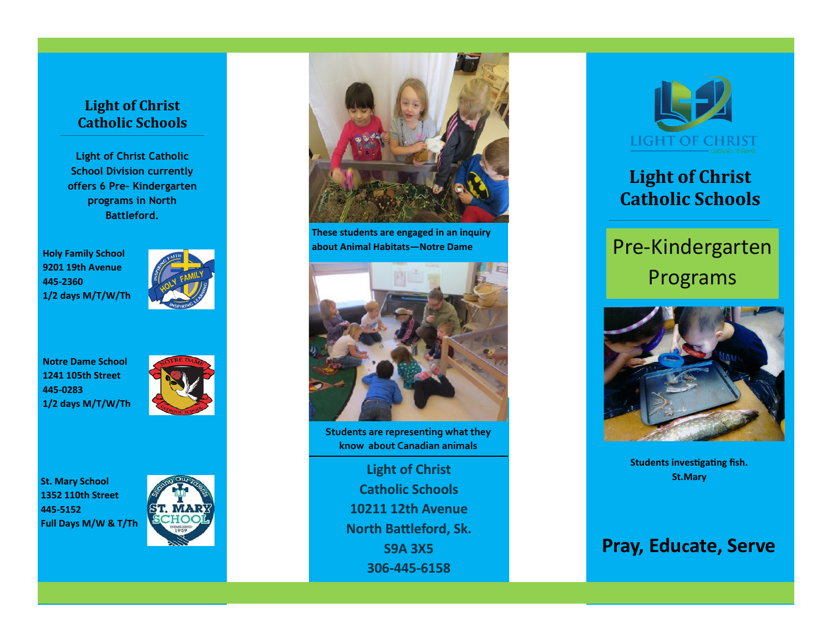### **Light of Christ Catholic Schools**

**Light of Christ Catholic School Division currently offers 6 Pre– Kindergarten programs in North Battleford.**

**Holy Family School 9201 19th Avenue 445-2360 1/2 days M/T/W/Th**



**Notre Dame School 1241 105th Street 445-0283 1/2 days M/T/W/Th**



**St. Mary School 1352 110th Street 445-5152 Full Days M/W & T/Th**





**These students are engaged in an inquiry about Animal Habitats—Notre Dame**



<sub>i</sub>dents are representing what th<br>know about Canadian animals **Students are representing what they** 

end and the Light of Christ **Catholic Schools** Sk. **10211 12th Avenue** (306) 445-6158 **North Battleford, Sk. Example 12 Straight of Christ Christ Stephen Christ Christ Christ Christ Christ Christ Christ Christ Christ Christ Christ Christ Christ Christ Christ Christ Christ Christ Christ C S9A 3X5 306-445-6158**



## **Light of Christ Catholic Schools**

# Pre-Kindergarten Programs



**Students investigating fish.** 

### **Pray, Educate, Serve**